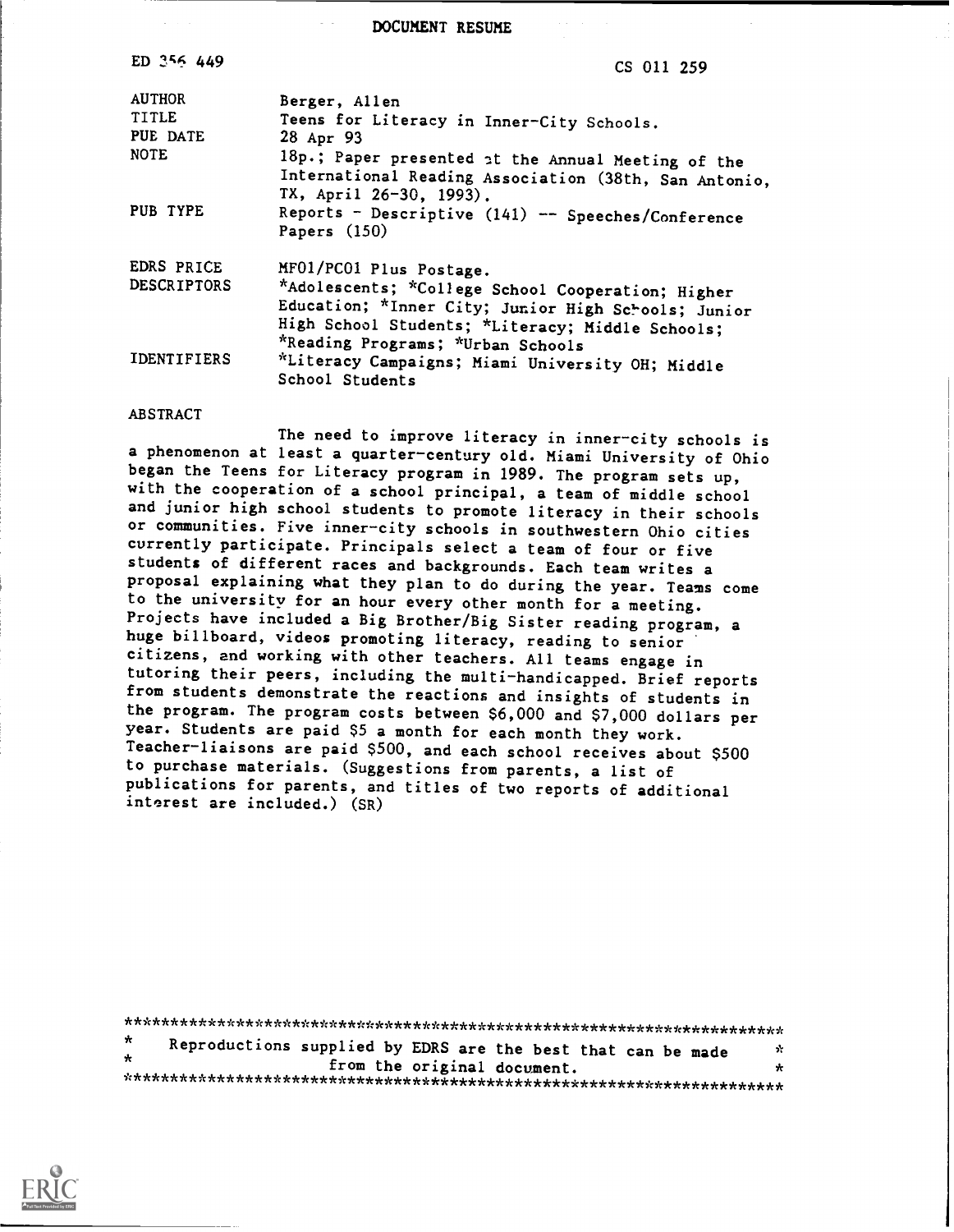DOCUMENT RESUME

| ED 356 449         | CS 011 259                                                                                                                                                                                                                                                                                                                                                                                                         |  |  |  |  |  |
|--------------------|--------------------------------------------------------------------------------------------------------------------------------------------------------------------------------------------------------------------------------------------------------------------------------------------------------------------------------------------------------------------------------------------------------------------|--|--|--|--|--|
| <b>AUTHOR</b>      | Berger, Allen                                                                                                                                                                                                                                                                                                                                                                                                      |  |  |  |  |  |
| <b>TITLE</b>       | Teens for Literacy in Inner-City Schools.                                                                                                                                                                                                                                                                                                                                                                          |  |  |  |  |  |
| PUE DATE           | 28 Apr 93                                                                                                                                                                                                                                                                                                                                                                                                          |  |  |  |  |  |
| <b>NOTE</b>        | 18p.; Paper presented at the Annual Meeting of the                                                                                                                                                                                                                                                                                                                                                                 |  |  |  |  |  |
|                    |                                                                                                                                                                                                                                                                                                                                                                                                                    |  |  |  |  |  |
| PUB TYPE           |                                                                                                                                                                                                                                                                                                                                                                                                                    |  |  |  |  |  |
|                    | Papers $(150)$                                                                                                                                                                                                                                                                                                                                                                                                     |  |  |  |  |  |
| <b>EDRS PRICE</b>  | MF01/PC01 Plus Postage.                                                                                                                                                                                                                                                                                                                                                                                            |  |  |  |  |  |
| <b>DESCRIPTORS</b> |                                                                                                                                                                                                                                                                                                                                                                                                                    |  |  |  |  |  |
|                    |                                                                                                                                                                                                                                                                                                                                                                                                                    |  |  |  |  |  |
|                    |                                                                                                                                                                                                                                                                                                                                                                                                                    |  |  |  |  |  |
|                    |                                                                                                                                                                                                                                                                                                                                                                                                                    |  |  |  |  |  |
|                    |                                                                                                                                                                                                                                                                                                                                                                                                                    |  |  |  |  |  |
|                    |                                                                                                                                                                                                                                                                                                                                                                                                                    |  |  |  |  |  |
| <b>IDENTIFIERS</b> | International Reading Association (38th, San Antonio,<br>TX, April 26-30, 1993).<br>Reports - Descriptive (141) -- Speeches/Conference<br>*Adolescents; *College School Cooperation; Higher<br>Education; *Inner City; Junior High Schools; Junior<br>High School Students; *Literacy; Middle Schools;<br>*Reading Programs; *Urban Schools<br>*Literacy Campaigns; Miami University OH; Middle<br>School Students |  |  |  |  |  |

## ABSTRACT

The need to improve literacy in inner-city schools is a phenomenon at least a quarter-century old. Miami University of Ohio began the Teens for Literacy program in 1989. The program sets up, with the cooperation of a school principal, a team of middle school and junior high school students to promote literacy in their schools or communities. Five inner-city schools in southwestern Ohio cities currently participate. Principals select a team of four or five students of different races and backgrounds. Each team writes a proposal explaining what they plan to do during the year. Teams come to the university for an hour every other month for a meeting. Projects have included a Big Brother/Big Sister reading program, a huge billboard, videos promoting literacy, reading to senior citizens, and working with other teachers. All teams engage in tutoring their peers, including the multi-handicapped. Brief reports from students demonstrate the reactions and insights of students in the program. The program costs between \$6,000 and \$7,000 dollars per year. Students are paid \$5 a month for each month they work. Teacher-liaisons are paid \$500, and each school receives about \$500 to purchase materials. (Suggestions from parents, a list of publications for parents, and titles of two reports of additional interest are included.) (SR)

|         | Reproductions supplied by EDRS are the best that can be made |  |  |                             |  |  |     |  |
|---------|--------------------------------------------------------------|--|--|-----------------------------|--|--|-----|--|
| $\star$ |                                                              |  |  |                             |  |  | -22 |  |
|         |                                                              |  |  | from the original document. |  |  | ₩   |  |
|         |                                                              |  |  |                             |  |  |     |  |

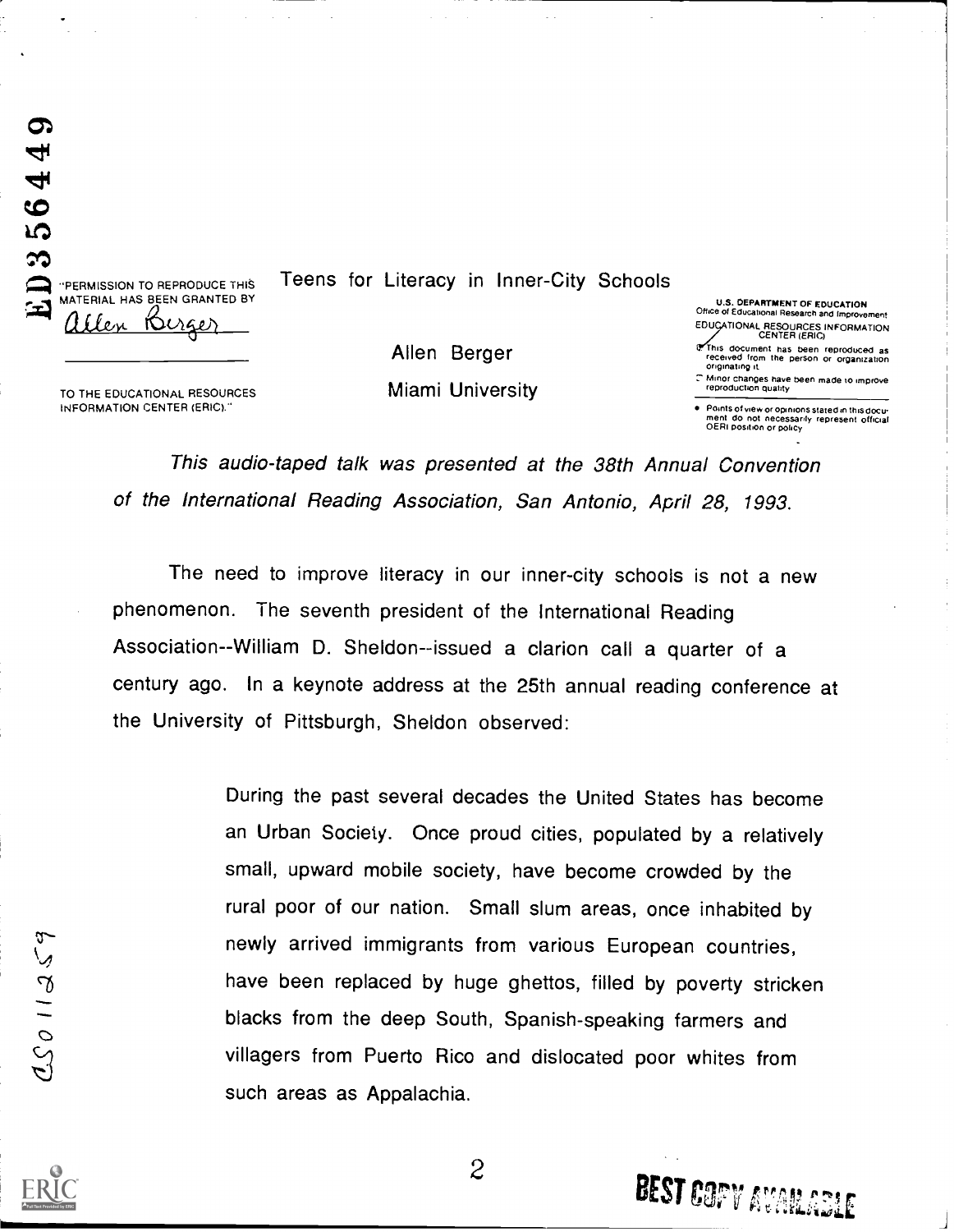"PERMISSION TO REPRODUCE THIS MATERIAL HAS BEEN GRANTED BY allen Nizer

 $32$ 

 $564.$ 

ග 4

Teens for Literacy in Inner-City Schools

Allen Berger Miami University

U.S. DEPARTMENT OF EDUCATION Office of Educational Research and Improvement EDUCATIONAL RESOURCES INFORMATION CENTER (ERIC)

This document has been reproduced as received from the person or organization originating it

Minor changes have been made to improve reproduction quality

**BEST COPY AVAILABLE** 

Points of view or opinions stated in this docu ment do not necessarily represent official<br>OERI position or policy

TO THE EDUCATIONAL RESOURCES INFORMATION CENTER (ERIC).

> This audio-taped talk was presented at the 38th Annual Convention of the International Reading Association, San Antonio, April 28, 1993.

The need to improve literacy in our inner-city schools is not a new phenomenon. The seventh president of the International Reading Association--William D. Sheldon--issued a clarion call a quarter of a century ago. In a keynote address at the 25th annual reading conference at the University of Pittsburgh, Sheldon observed:

> During the past several decades the United States has become an Urban Society. Once proud cities, populated by a relatively small, upward mobile society, have become crowded by the rural poor of our nation. Small slum areas, once inhabited by newly arrived immigrants from various European countries, have been replaced by huge ghettos, filled by poverty stricken blacks from the deep South, Spanish-speaking farmers and villagers from Puerto Rico and dislocated poor whites from such areas as Appalachia.

> > 2

 $0.26112579$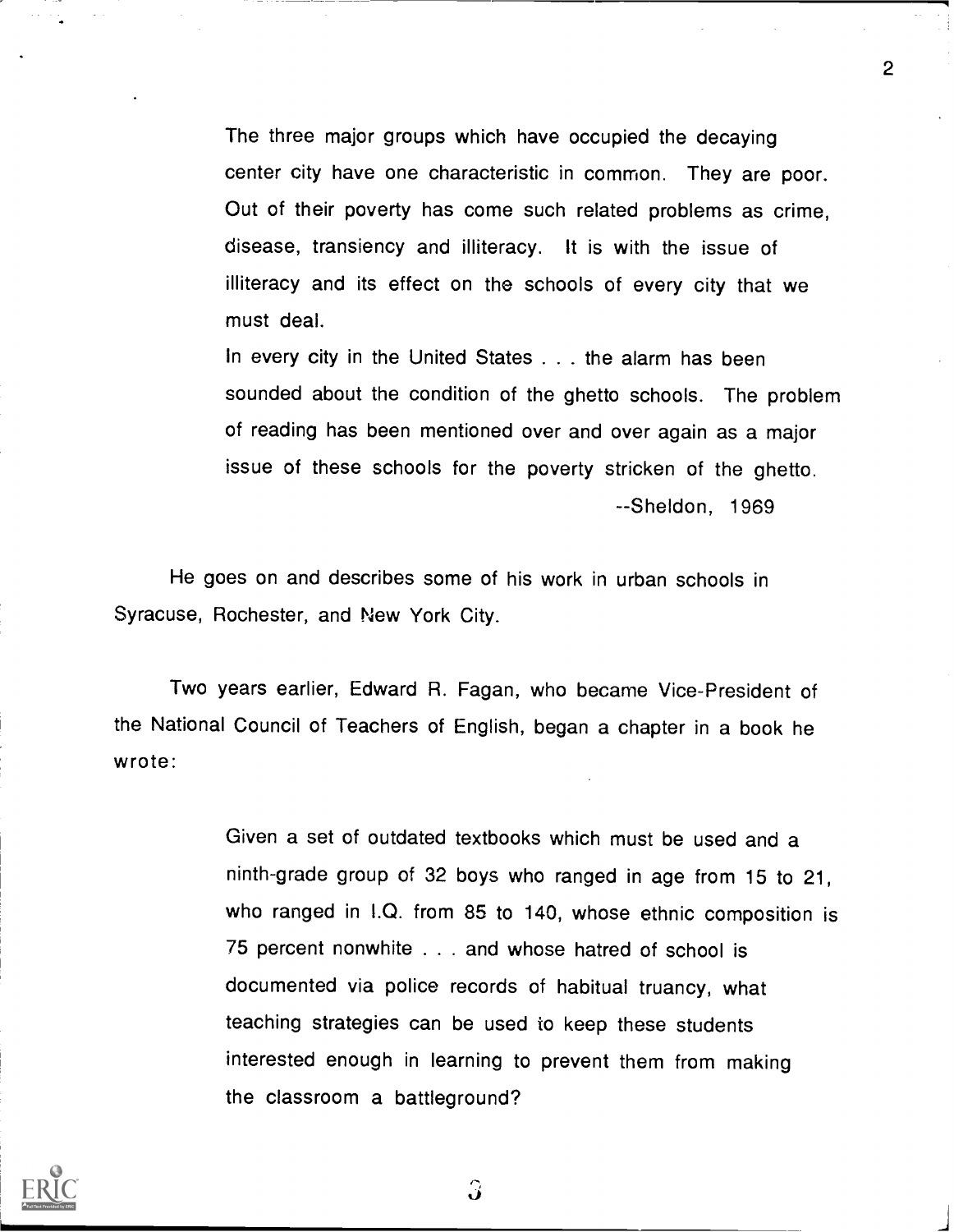The three major groups which have occupied the decaying center city have one characteristic in common. They are poor. Out of their poverty has come such related problems as crime, disease, transiency and illiteracy. It is with the issue of illiteracy and its effect on the schools of every city that we must deal.

2 (1)

In every city in the United States . . . the alarm has been sounded about the condition of the ghetto schools. The problem of reading has been mentioned over and over again as a major issue of these schools for the poverty stricken of the ghetto. --Sheldon, 1969

He goes on and describes some of his work in urban schools in Syracuse, Rochester, and New York City.

Two years earlier, Edward R. Fagan, who became Vice-President of the National Council of Teachers of English, began a chapter in a book he wrote:

> Given a set of outdated textbooks which must be used and a ninth-grade group of 32 boys who ranged in age from 15 to 21, who ranged in I.Q. from 85 to 140, whose ethnic composition is 75 percent nonwhite . . . and whose hatred of school is documented via police records of habitual truancy, what teaching strategies can be used to keep these students interested enough in learning to prevent them from making the classroom a battleground?



 $\hat{J}$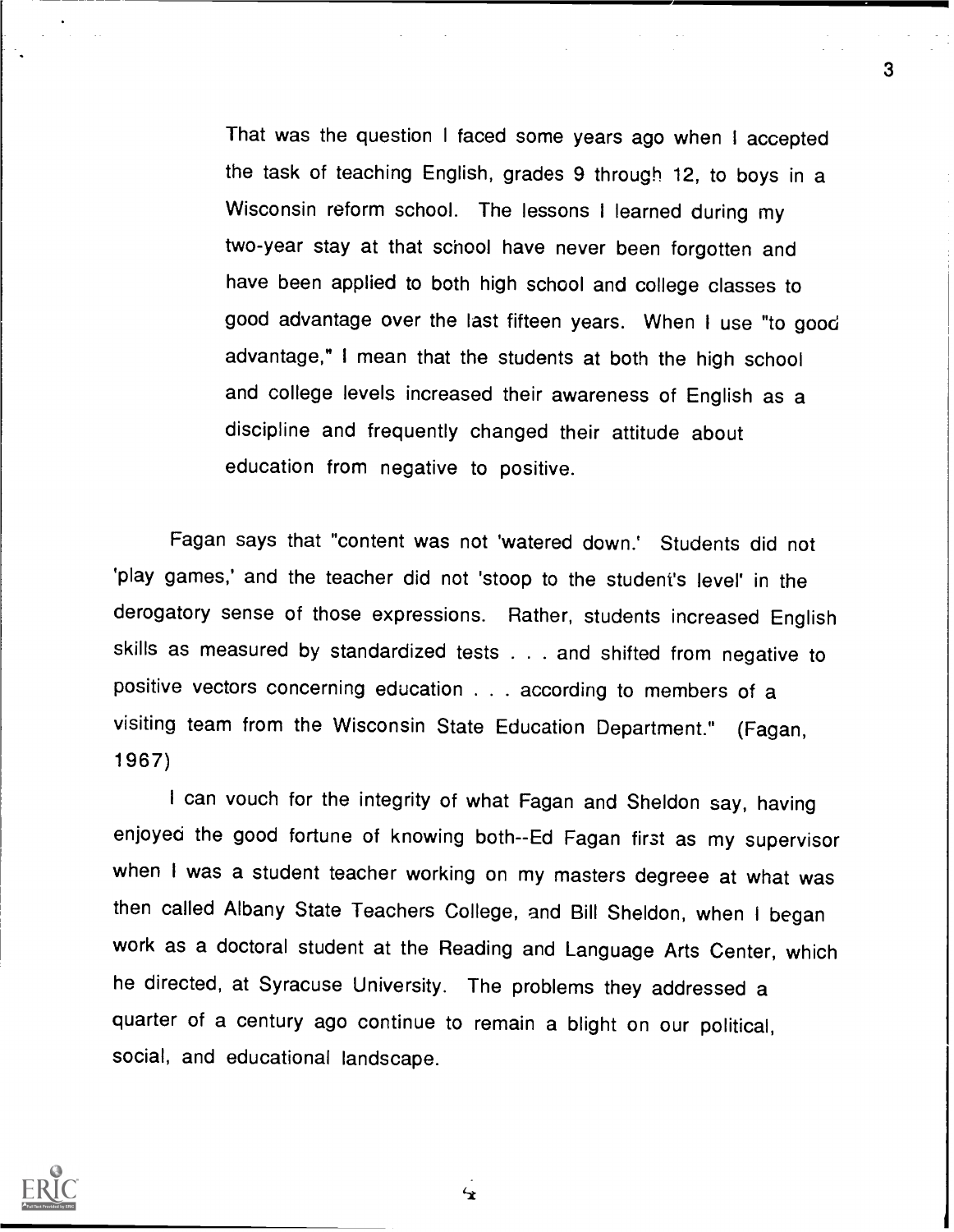That was the question I faced some years ago when I accepted the task of teaching English, grades 9 through 12, to boys in a Wisconsin reform school. The lessons <sup>I</sup> learned during my two-year stay at that school have never been forgotten and have been applied to both high school and college classes to good advantage over the last fifteen years. When I use "to good advantage," I mean that the students at both the high school and college levels increased their awareness of English as a discipline and frequently changed their attitude about education from negative to positive.

3

Fagan says that "content was not 'watered down.' Students did not 'play games,' and the teacher did not 'stoop to the student's level' in the derogatory sense of those expressions. Rather, students increased English skills as measured by standardized tests . . . and shifted from negative to positive vectors concerning education . . . according to members of a visiting team from the Wisconsin State Education Department." (Fagan, 1967)

I can vouch for the integrity of what Fagan and Sheldon say, having enjoyed the good fortune of knowing both--Ed Fagan first as my supervisor when I was a student teacher working on my masters degreee at what was then called Albany State Teachers College, and Bill Sheldon, when I began work as a doctoral student at the Reading and Language Arts Center, which he directed, at Syracuse University. The problems they addressed a quarter of a century ago continue to remain a blight on our political, social, and educational landscape.



 $\mathbf{r}$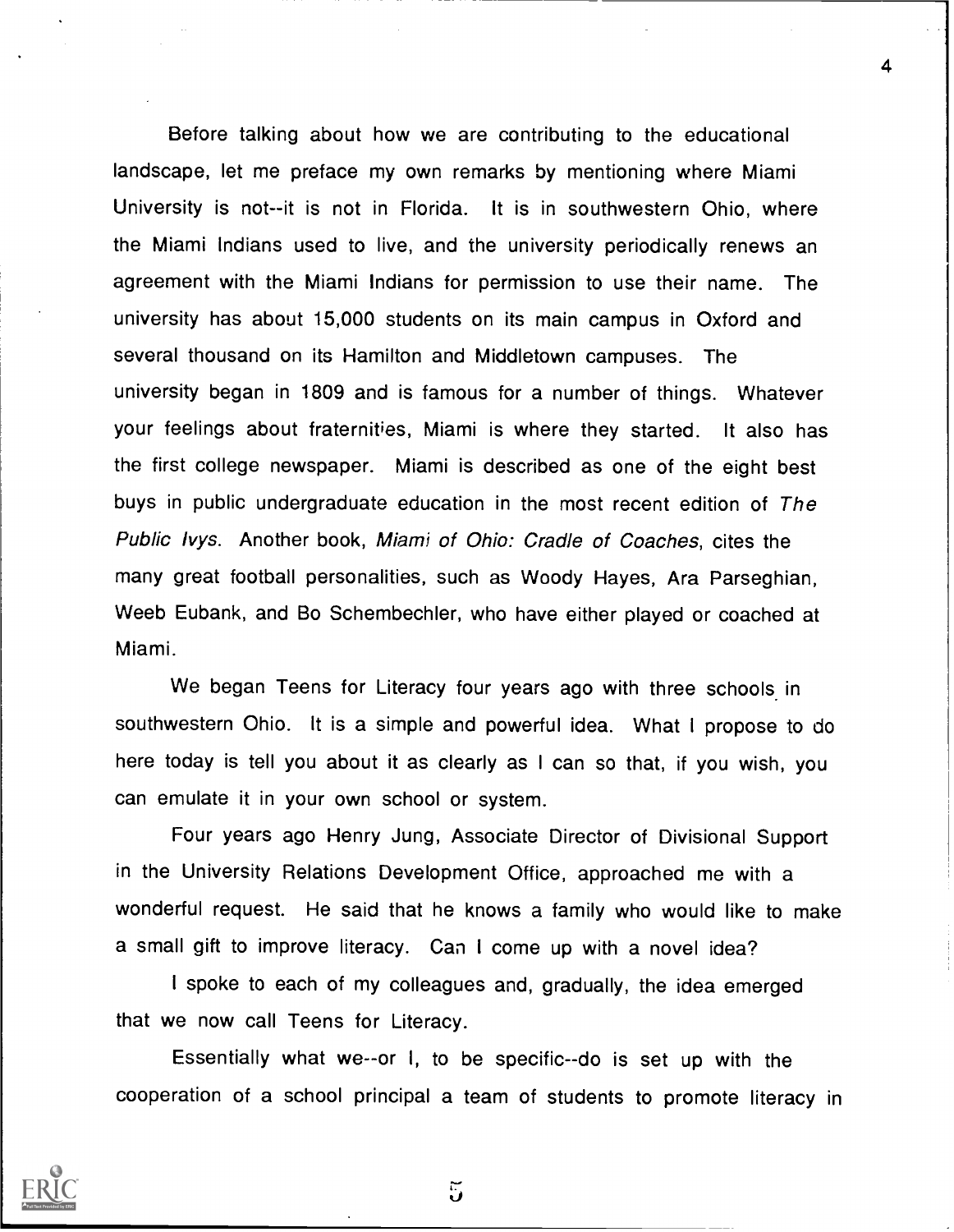Before talking about how we are contributing to the educational landscape, let me preface my own remarks by mentioning where Miami University is not--it is not in Florida. It is in southwestern Ohio, where the Miami Indians used to live, and the university periodically renews an agreement with the Miami Indians for permission to use their name. The university has about 15,000 students on its main campus in Oxford and several thousand on its Hamilton and Middletown campuses. The university began in 1809 and is famous for a number of things. Whatever your feelings about fraternities, Miami is where they started. It also has the first college newspaper. Miami is described as one of the eight best buys in public undergraduate education in the most recent edition of The Public lvys. Another book, Miami of Ohio: Cradle of Coaches, cites the many great football personalities, such as Woody Hayes, Ara Parseghian, Weeb Eubank, and Bo Schembechler, who have either played or coached at Miami.

4

We began Teens for Literacy four years ago with three schools in southwestern Ohio. It is a simple and powerful idea. What I propose to do here today is tell you about it as clearly as I can so that, if you wish, you can emulate it in your own school or system.

Four years ago Henry Jung, Associate Director of Divisional Support in the University Relations Development Office, approached me with a wonderful request. He said that he knows a family who would like to make a small gift to improve literacy. Can I come up with a novel idea?

I spoke to each of my colleagues and, gradually, the idea emerged that we now call Teens for Literacy.

Essentially what we--or I, to be specific--do is set up with the cooperation of a school principal a team of students to promote literacy in



៊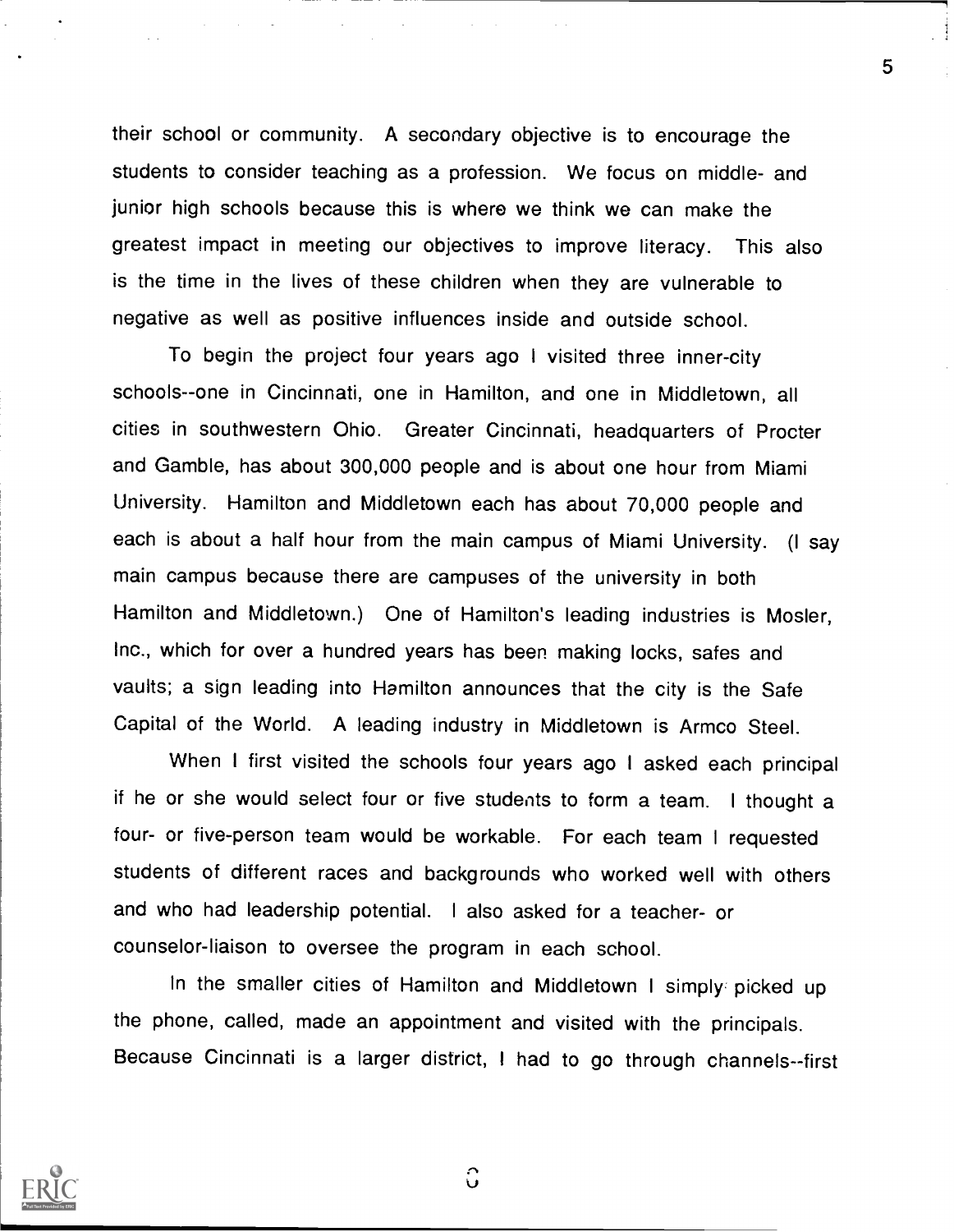their school or community. A secondary objective is to encourage the students to consider teaching as a profession. We focus on middle- and junior high schools because this is where we think we can make the greatest impact in meeting our objectives to improve literacy. This also is the time in the lives of these children when they are vulnerable to negative as well as positive influences inside and outside school.

To begin the project four years ago <sup>I</sup> visited three inner-city schools--one in Cincinnati, one in Hamilton, and one in Middletown, all cities in southwestern Ohio. Greater Cincinnati, headquarters of Procter and Gamble, has about 300,000 people and is about one hour from Miami University. Hamilton and Middletown each has about 70,000 people and each is about a half hour from the main campus of Miami University. (I say main campus because there are campuses of the university in both Hamilton and Middletown.) One of Hamilton's leading industries is Mosier, Inc., which for over a hundred years has been making locks, safes and vaults; a sign leading into Hamilton announces that the city is the Safe Capital of the World. A leading industry in Middletown is Armco Steel.

When I first visited the schools four years ago I asked each principal if he or she would select four or five students to form a team. I thought a four- or five-person team would be workable. For each team I requested students of different races and backgrounds who worked well with others and who had leadership potential. <sup>I</sup> also asked for a teacher- or counselor-liaison to oversee the program in each school.

In the smaller cities of Hamilton and Middletown <sup>I</sup> simply: picked up the phone, called, made an appointment and visited with the principals. Because Cincinnati is a larger district, <sup>I</sup> had to go through channels--first



Ĉ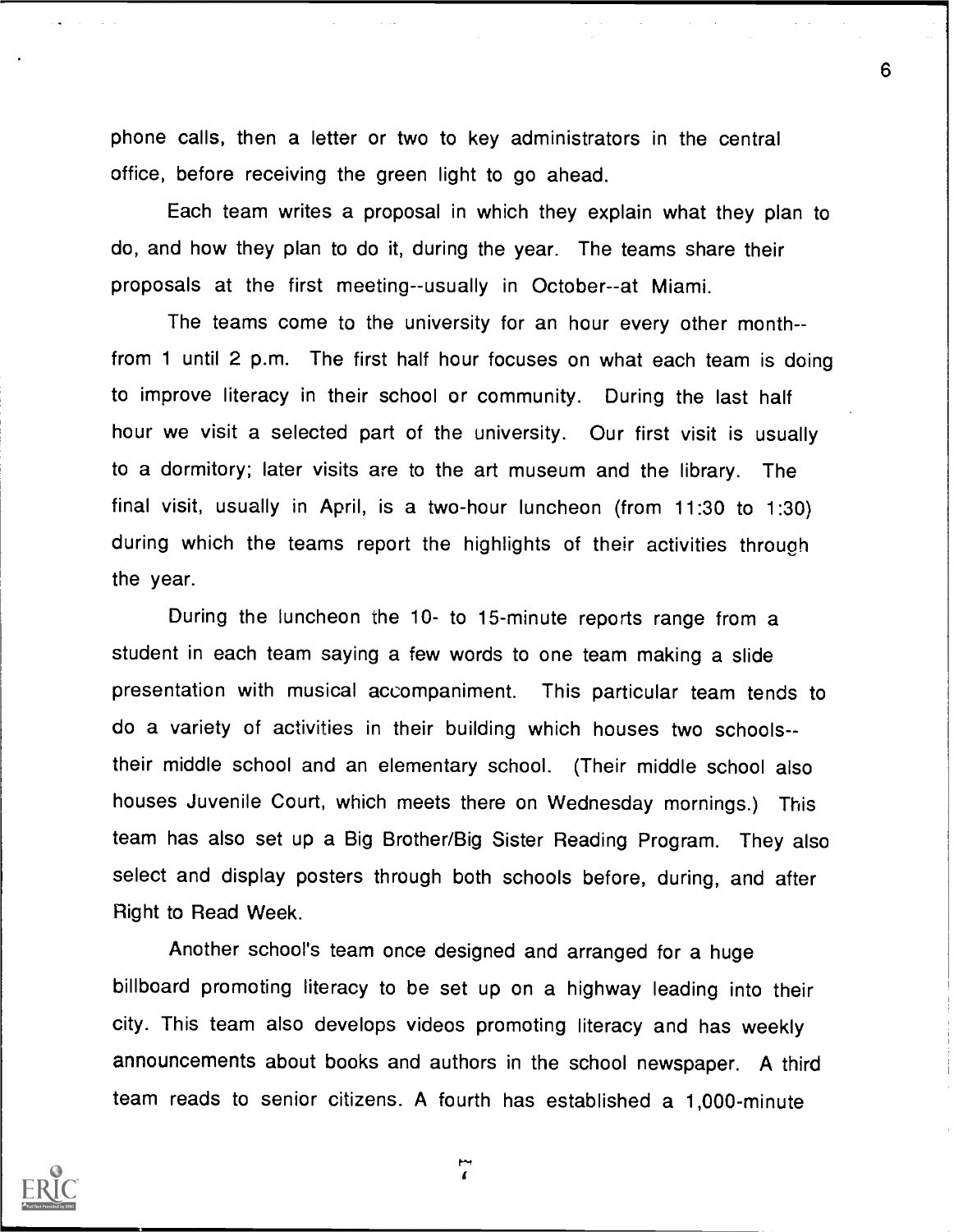phone calls, then a letter or two to key administrators in the central office, before receiving the green light to go ahead.

Each team writes a proposal in which they explain what they plan to do, and how they plan to do it, during the year. The teams share their proposals at the first meeting--usually in October--at Miami.

The teams come to the university for an hour every other monthfrom 1 until 2 p.m. The first half hour focuses on what each team is doing to improve literacy in their school or community. During the last half hour we visit a selected part of the university. Our first visit is usually to a dormitory; later visits are to the art museum and the library. The final visit, usually in April, is a two-hour luncheon (from 11:30 to 1:30) during which the teams report the highlights of their activities through the year.

During the luncheon the 10- to 15-minute reports range from a student in each team saying a few words to one team making a slide presentation with musical accompaniment. This particular team tends to do a variety of activities in their building which houses two schoolstheir middle school and an elementary school. (Their middle school also houses Juvenile Court, which meets there on Wednesday mornings.) This team has also set up a Big Brother/Big Sister Reading Program. They also select and display posters through both schools before, during, and after Right to Read Week.

Another school's team once designed and arranged for a huge billboard promoting literacy to be set up on a highway leading into their city. This team also develops videos promoting literacy and has weekly announcements about books and authors in the school newspaper. A third team reads to senior citizens. A fourth has established a 1,000-minute



 $\mathbf{r}$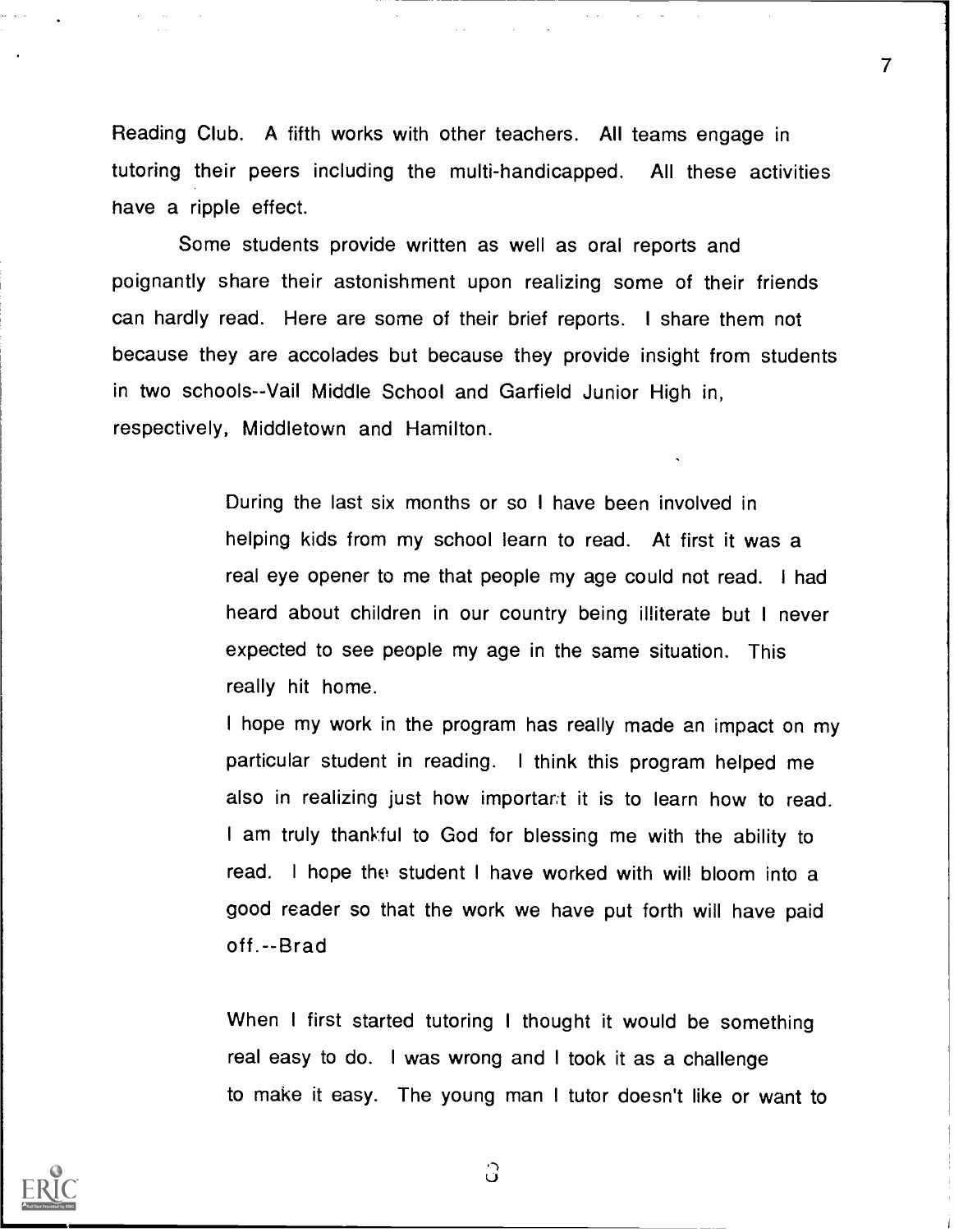Reading Club. A fifth works with other teachers. All teams engage in tutoring their peers including the multi-handicapped. All these activities have a ripple effect.

7

Some students provide written as well as oral reports and poignantly share their astonishment upon realizing some of their friends can hardly read. Here are some of their brief reports. I share them not because they are accolades but because they provide insight from students in two schools--Vail Middle School and Garfield Junior High in, respectively, Middletown and Hamilton.

> During the last six months or so I have been involved in helping kids from my school learn to read. At first it was a real eye opener to me that people my age could not read. I had heard about children in our country being illiterate but <sup>I</sup> never expected to see people my age in the same situation. This really hit home.

I hope my work in the program has really made an impact on my particular student in reading. <sup>I</sup> think this program helped me also in realizing just how important it is to learn how to read. I am truly thankful to God for blessing me with the ability to read. I hope the student I have worked with will bloom into a good reader so that the work we have put forth will have paid off.--Brad

When I first started tutoring I thought it would be something real easy to do. I was wrong and I took it as a challenge to make it easy. The young man I tutor doesn't like or want to



ි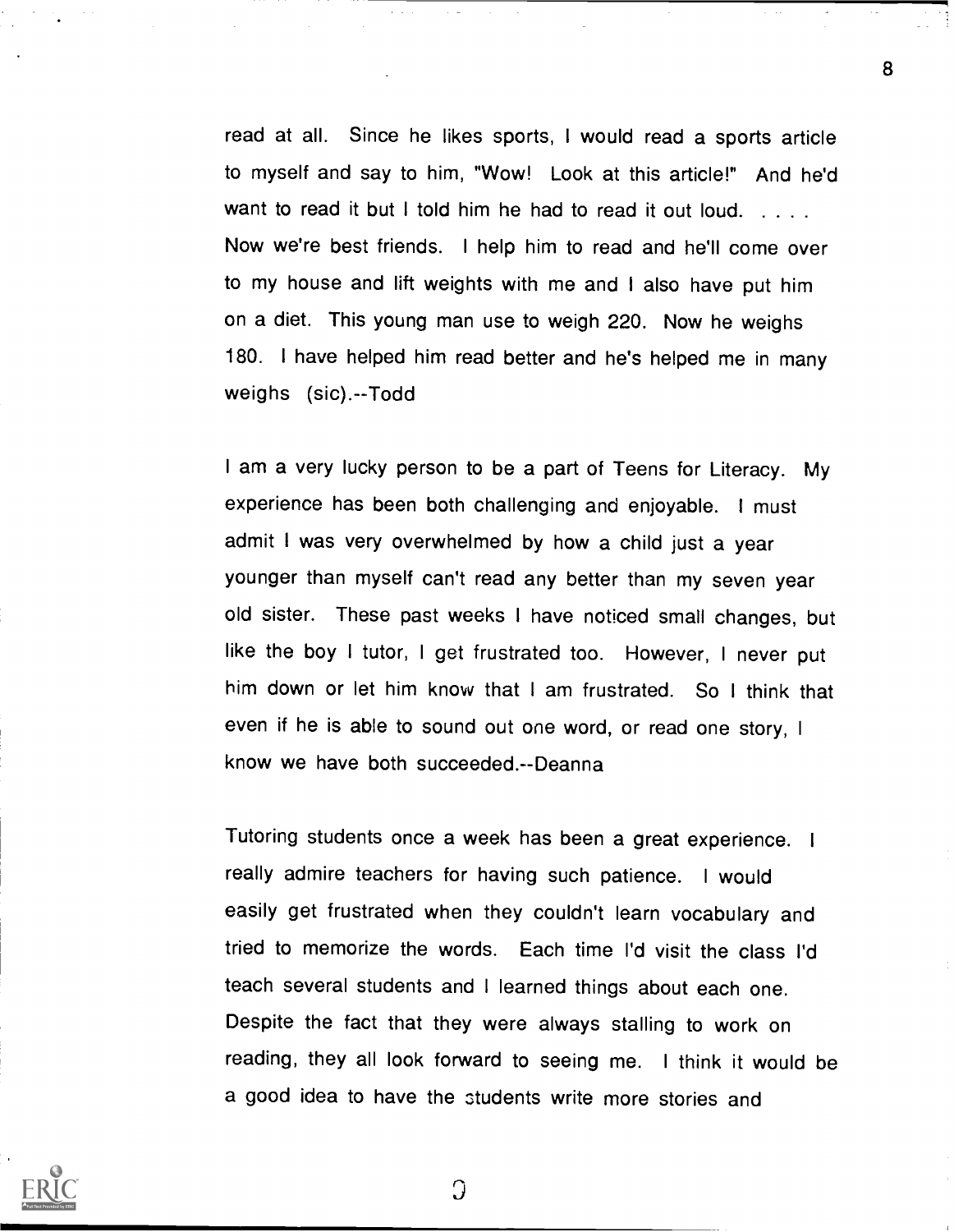read at all. Since he likes sports, I would read a sports article to myself and say to him, "Wow! Look at this article!" And he'd want to read it but I told him he had to read it out loud. . . . . Now we're best friends. I help him to read and he'll come over to my house and lift weights with me and I also have put him on a diet. This young man use to weigh 220. Now he weighs 180. I have helped him read better and he's helped me in many weighs (sic).--Todd

I am a very lucky person to be a part of Teens for Literacy. My experience has been both challenging and enjoyable. I must admit I was very overwhelmed by how a child just a year younger than myself can't read any better than my seven year old sister. These past weeks I have noticed small changes, but like the boy I tutor, <sup>I</sup> get frustrated too. However, <sup>I</sup> never put him down or let him know that I am frustrated. So I think that even if he is able to sound out one word, or read one story, <sup>I</sup> know we have both succeeded.--Deanna

Tutoring students once a week has been a great experience. <sup>I</sup> really admire teachers for having such patience. I would easily get frustrated when they couldn't learn vocabulary and tried to memorize the words. Each time I'd visit the class I'd teach several students and I learned things about each one. Despite the fact that they were always stalling to work on reading, they all look forward to seeing me. <sup>I</sup> think it would be a good idea to have the Students write more stories and



Э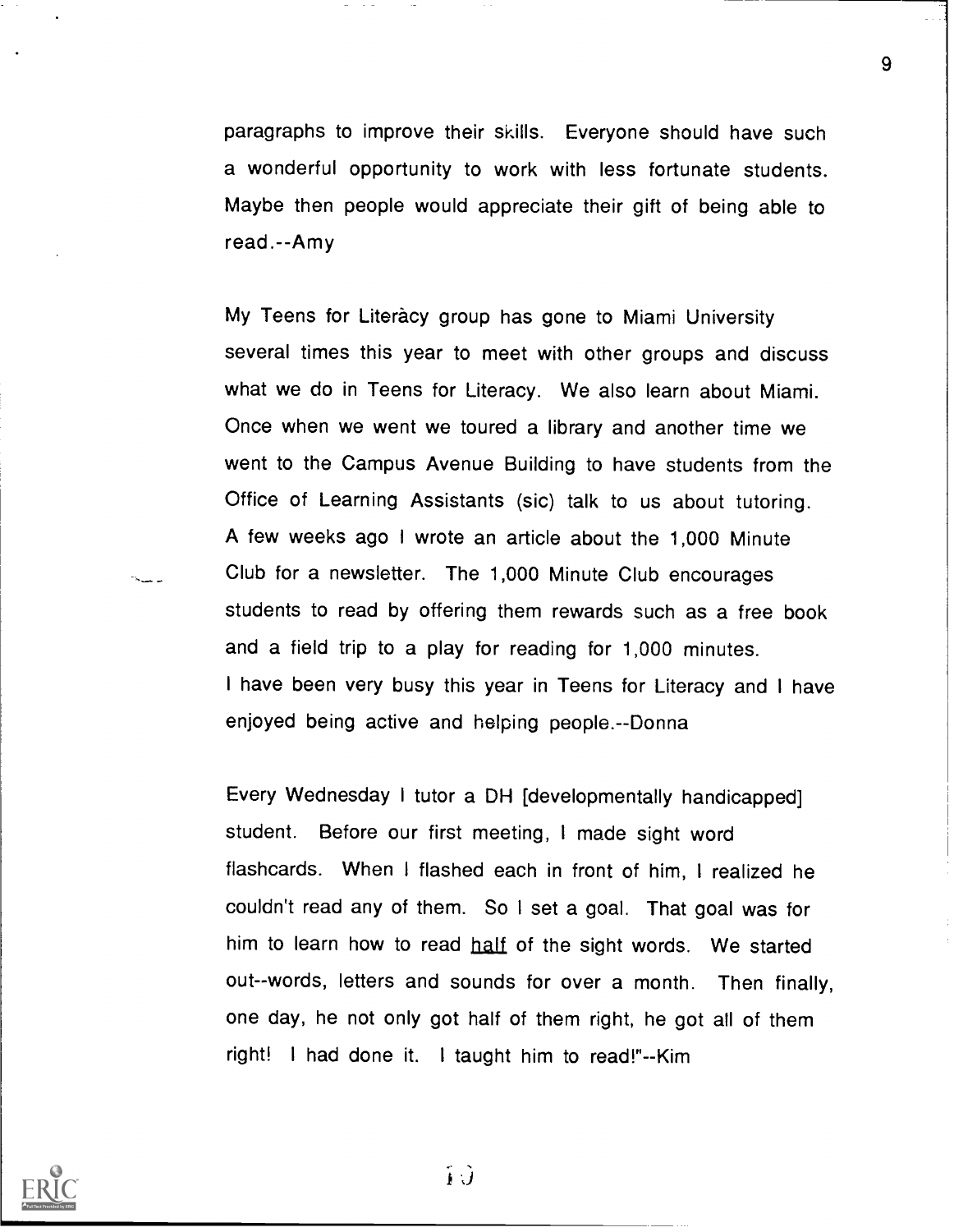paragraphs to improve their skills. Everyone should have such a wonderful opportunity to work with less fortunate students. Maybe then people would appreciate their gift of being able to read.--Amy

My Teens for Literacy group has gone to Miami University several times this year to meet with other groups and discuss what we do in Teens for Literacy. We also learn about Miami. Once when we went we toured a library and another time we went to the Campus Avenue Building to have students from the Office of Learning Assistants (sic) talk to us about tutoring. A few weeks ago I wrote an article about the 1,000 Minute Club for a newsletter. The 1,000 Minute Club encourages students to read by offering them rewards such as a free book and a field trip to a play for reading for 1,000 minutes. I have been very busy this year in Teens for Literacy and I have enjoyed being active and helping people.--Donna

Every Wednesday I tutor a DH [developmentally handicapped] student. Before our first meeting, I made sight word flashcards. When I flashed each in front of him, <sup>I</sup> realized he couldn't read any of them. So I set a goal. That goal was for him to learn how to read half of the sight words. We started out--words, letters and sounds for over a month. Then finally, one day, he not only got half of them right, he got all of them right! I had done it. I taught him to read!"--Kim



 $\hat{\mathbf{i}}$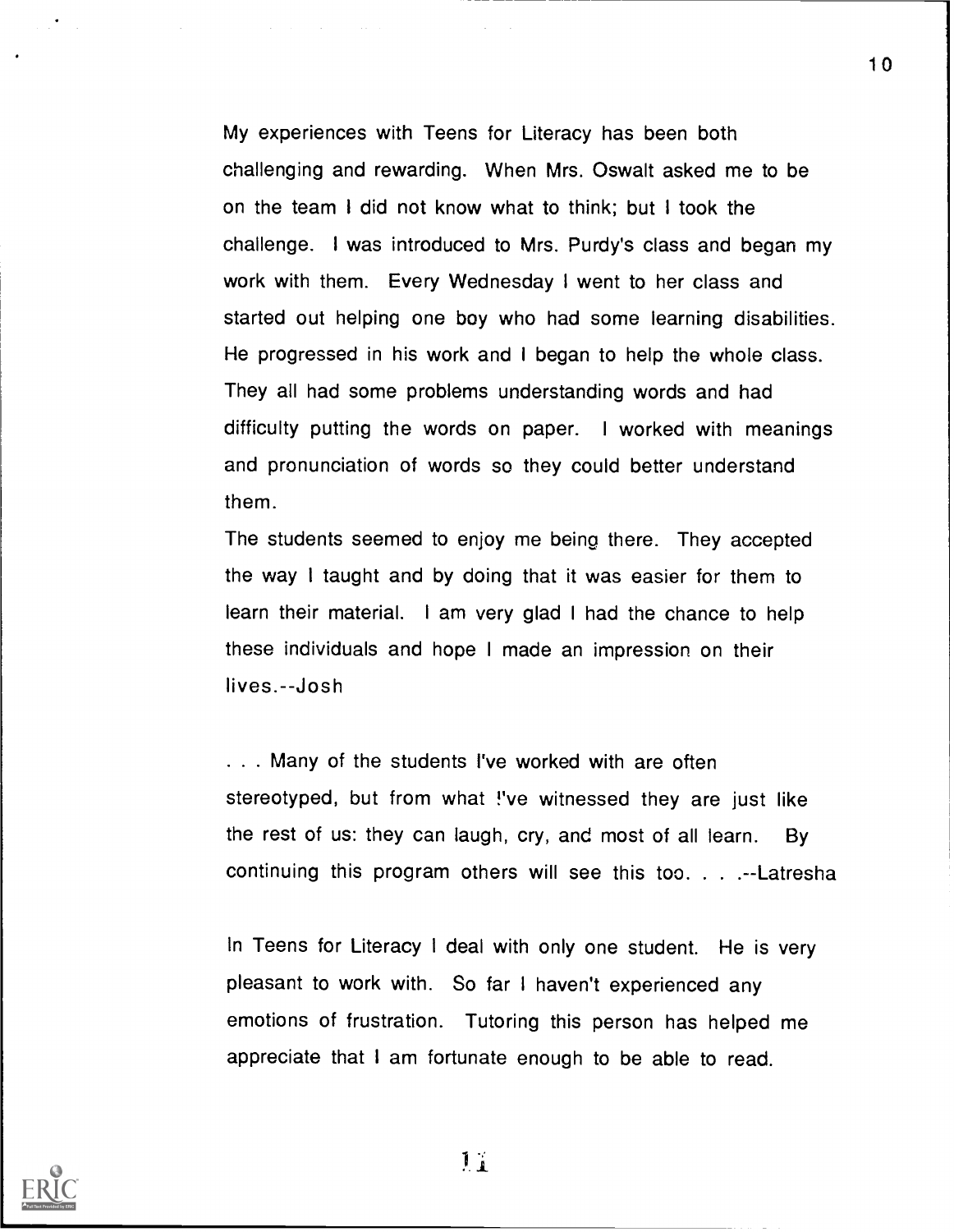My experiences with Teens for Literacy has been both challenging and rewarding. When Mrs. Oswalt asked me to be on the team I did not know what to think; but I took the challenge. I was introduced to Mrs. Purdy's class and began my work with them. Every Wednesday I went to her class and started out helping one boy who had some learning disabilities. He progressed in his work and I began to help the whole class. They all had some problems understanding words and had difficulty putting the words on paper. I worked with meanings and pronunciation of words so they could better understand them.

The students seemed to enjoy me being there. They accepted the way I taught and by doing that it was easier for them to learn their material. I am very glad I had the chance to help these individuals and hope I made an impression on their lives.--Josh

. . . Many of the students I've worked with are often stereotyped, but from what !'ve witnessed they are just like the rest of us: they can laugh, cry, and most of all learn. By continuing this program others will see this too. . ..--Latresha

In Teens for Literacy I deal with only one student. He is very pleasant to work with. So far <sup>I</sup> haven't experienced any emotions of frustration. Tutoring this person has helped me appreciate that I am fortunate enough to be able to read.

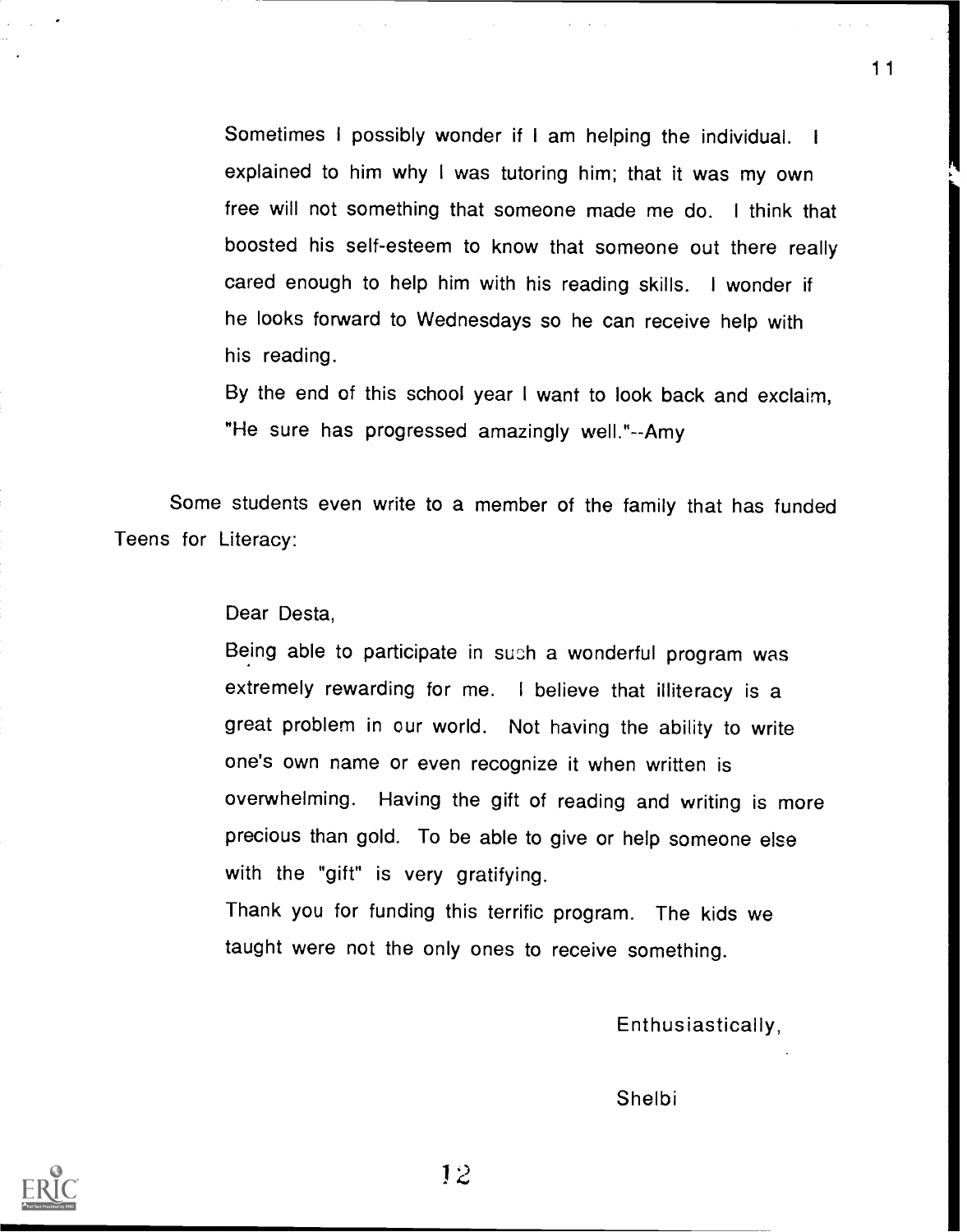Sometimes I possibly wonder if I am helping the individual. <sup>I</sup> explained to him why I was tutoring him; that it was my own free will not something that someone made me do. <sup>I</sup> think that boosted his self-esteem to know that someone out there really cared enough to help him with his reading skills. I wonder if he looks forward to Wednesdays so he can receive help with his reading.

By the end of this school year I want to look back and exclaim, He sure has progressed amazingly well."--Amy

Some students even write to a member of the family that has funded Teens for Literacy:

## Dear Desta,

Being able to participate in such a wonderful program was extremely rewarding for me. <sup>I</sup> believe that illiteracy is a great problem in our world. Not having the ability to write one's own name or even recognize it when written is overwhelming. Having the gift of reading and writing is more precious than gold. To be able to give or help someone else with the "gift" is very gratifying.

Thank you for funding this terrific program. The kids we taught were not the only ones to receive something.

Enthusiastically,

Shelbi



12

11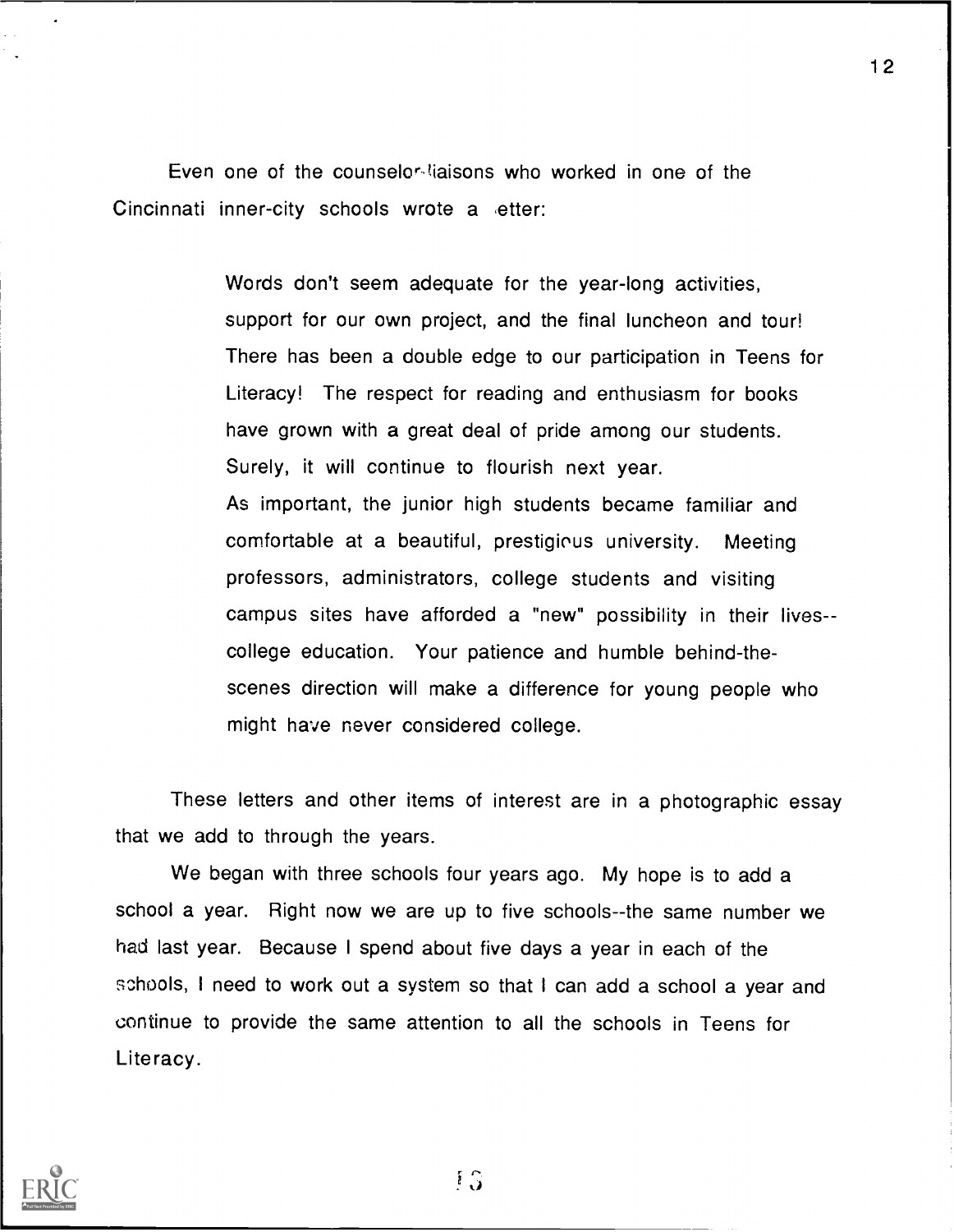Even one of the counselor liaisons who worked in one of the Cincinnati inner-city schools wrote a etter:

> Words don't seem adequate for the year-long activities, support for our own project, and the final luncheon and tour! There has been a double edge to our participation in Teens for Literacy! The respect for reading and enthusiasm for books have grown with a great deal of pride among our students. Surely, it will continue to flourish next year. As important, the junior high students became familiar and comfortable at a beautiful, prestigious university. Meeting professors, administrators, college students and visiting campus sites have afforded a "new" possibility in their livescollege education. Your patience and humble behind-thescenes direction will make a difference for young people who might have never considered college.

These letters and other items of interest are in a photographic essay that we add to through the years.

We began with three schools four years ago. My hope is to add a school a year. Right now we are up to five schools--the same number we had last year. Because I spend about five days a year in each of the schools, I need to work out a system so that I can add a school a year and continue to provide the same attention to all the schools in Teens for Literacy.



1 G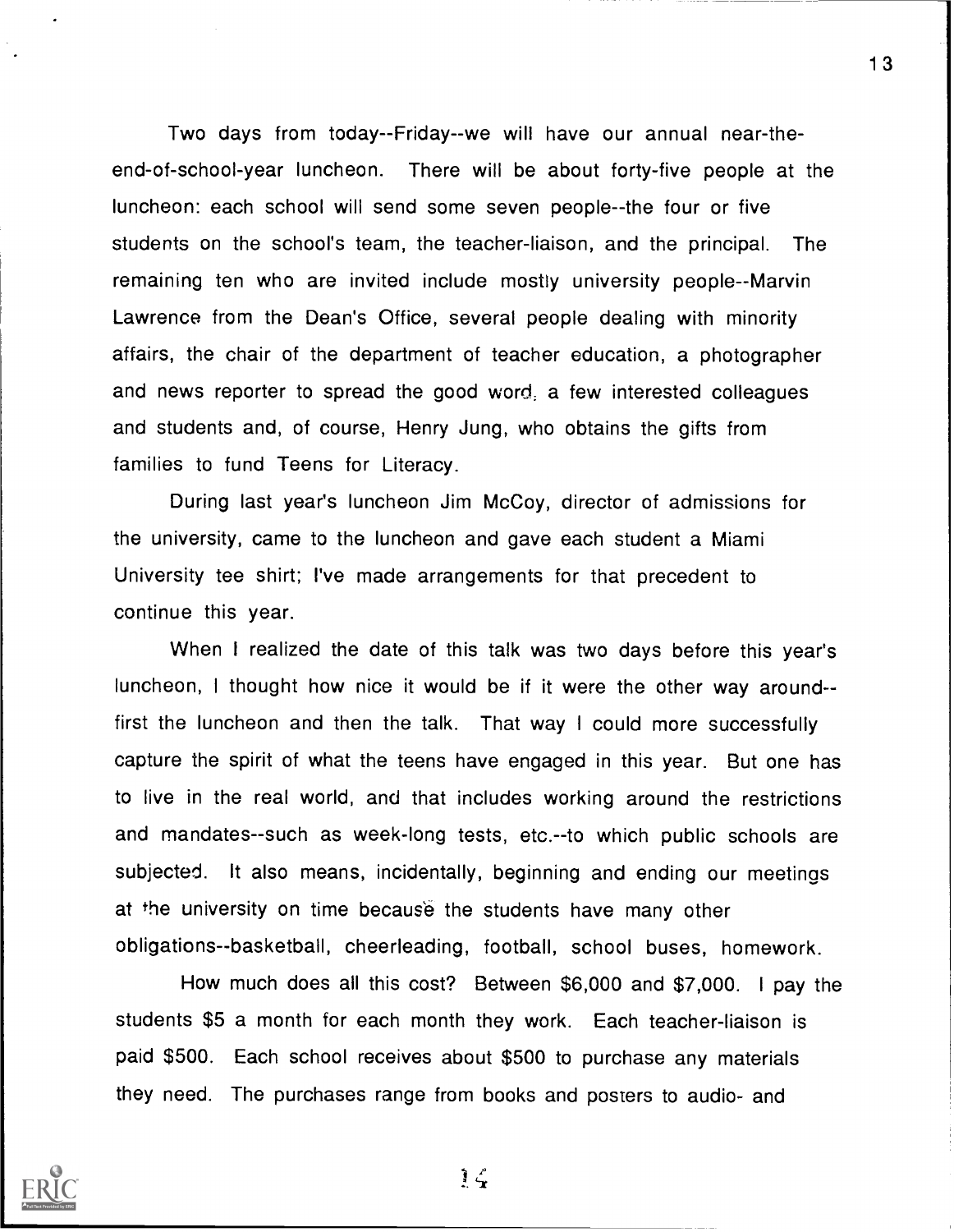Two days from today--Friday--we will have our annual near-theend-of-school-year luncheon. There will be about forty-five people at the luncheon: each school will send some seven people--the four or five students on the school's team, the teacher-liaison, and the principal. The remaining ten who are invited include mostly university people--Marvin Lawrence from the Dean's Office, several people dealing with minority affairs, the chair of the department of teacher education, a photographer and news reporter to spread the good word; a few interested colleagues and students and, of course, Henry Jung, who obtains the gifts from families to fund Teens for Literacy.

During last year's luncheon Jim McCoy, director of admissions for the university, came to the luncheon and gave each student a Miami University tee shirt; I've made arrangements for that precedent to continue this year.

When I realized the date of this talk was two days before this year's luncheon, <sup>I</sup> thought how nice it would be if it were the other way around- first the luncheon and then the talk. That way I could more successfully capture the spirit of what the teens have engaged in this year. But one has to live in the real world, and that includes working around the restrictions and mandates- -such as week-long tests, etc.--to which public schools are subjected. It also means, incidentally, beginning and ending our meetings at the university on time because the students have many other obligations--basketball, cheerleading, football, school buses, homework.

How much does all this cost? Between \$6,000 and \$7,000. I pay the students \$5 a month for each month they work. Each teacher-liaison is paid \$500. Each school receives about \$500 to purchase any materials they need. The purchases range from books and posters to audio- and



 $\mathbf{I} \subset$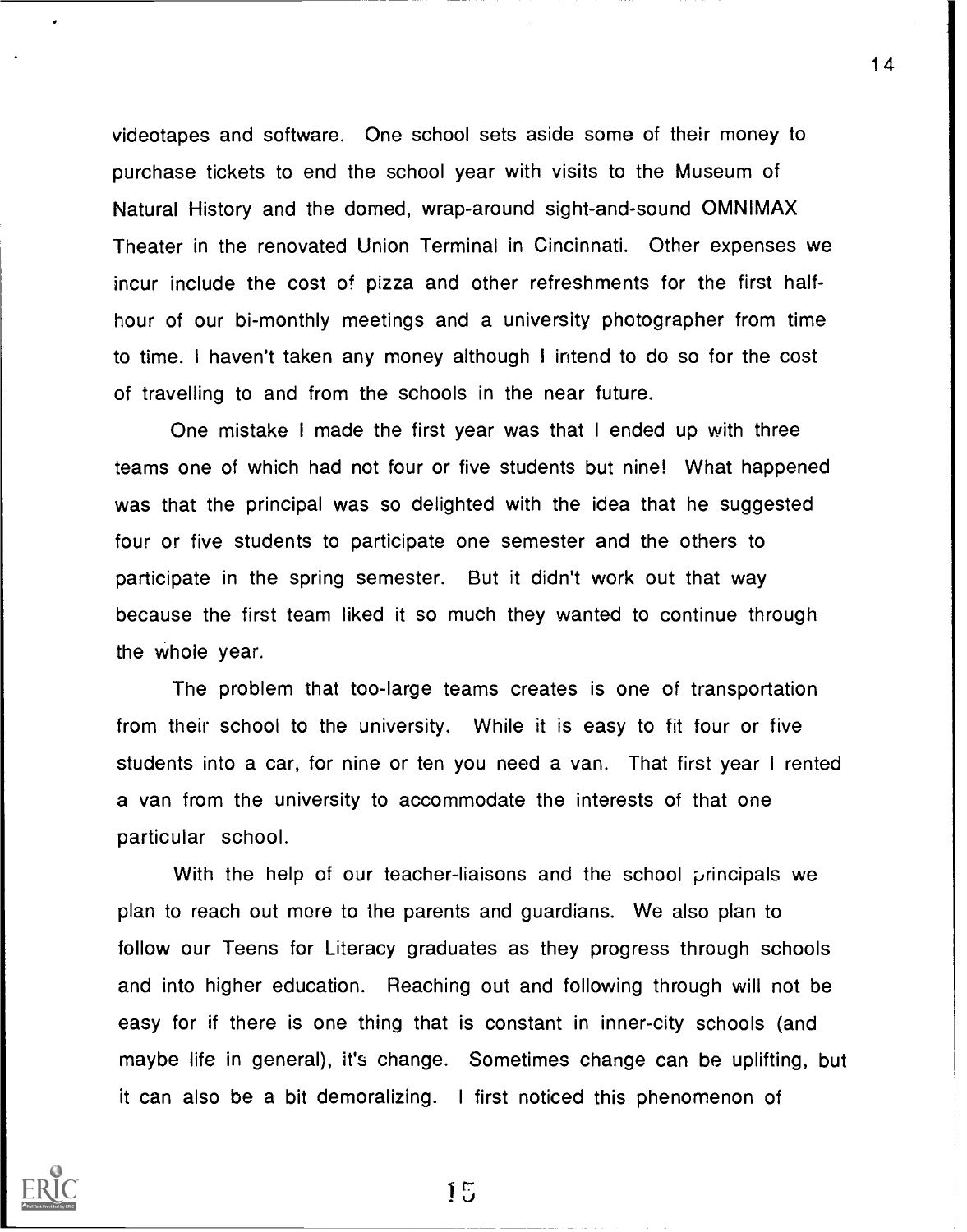videotapes and software. One school sets aside some of their money to purchase tickets to end the school year with visits to the Museum of Natural History and the domed, wrap-around sight-and-sound OMNIMAX Theater in the renovated Union Terminal in Cincinnati. Other expenses we incur include the cost of pizza and other refreshments for the first halfhour of our bi-monthly meetings and a university photographer from time to time. <sup>I</sup> haven't taken any money although I intend to do so for the cost of travelling to and from the schools in the near future.

One mistake I made the first year was that I ended up with three teams one of which had not four or five students but nine! What happened was that the principal was so delighted with the idea that he suggested four or five students to participate one semester and the others to participate in the spring semester. But it didn't work out that way because the first team liked it so much they wanted to continue through the whole year.

The problem that too-large teams creates is one of transportation from their school to the university. While it is easy to fit four or five students into a car, for nine or ten you need a van. That first year I rented a van from the university to accommodate the interests of that one particular school.

With the help of our teacher-liaisons and the school principals we plan to reach out more to the parents and guardians. We also plan to follow our Teens for Literacy graduates as they progress through schools and into higher education. Reaching out and following through will not be easy for if there is one thing that is constant in inner-city schools (and maybe life in general), it's change. Sometimes change can be uplifting, but it can also be a bit demoralizing. <sup>I</sup> first noticed this phenomenon of



15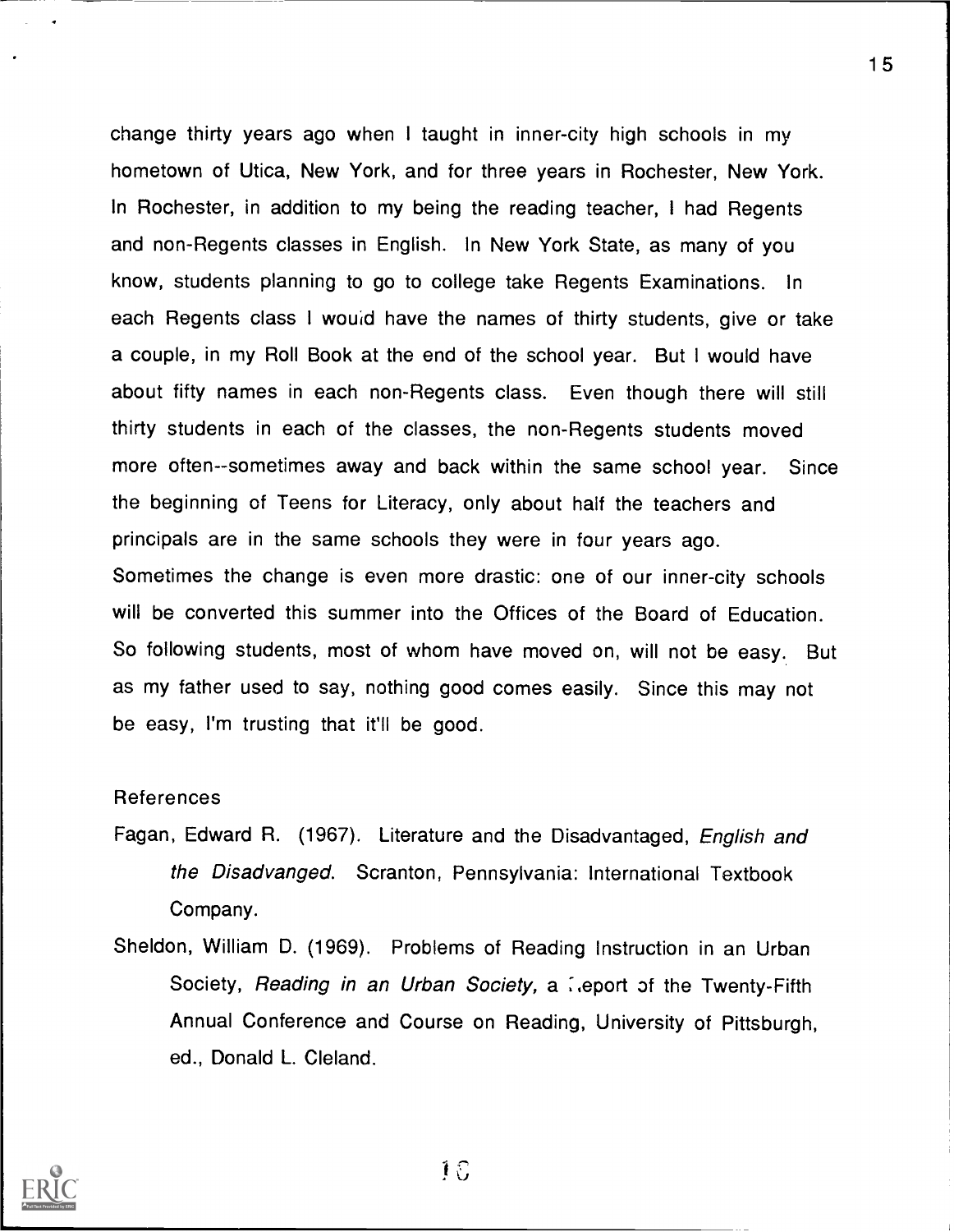change thirty years ago when I taught in inner-city high schools in my hometown of Utica, New York, and for three years in Rochester, New York. In Rochester, in addition to my being the reading teacher, I had Regents and non-Regents classes in English. In New York State, as many of you know, students planning to go to college take Regents Examinations. In each Regents class I would have the names of thirty students, give or take a couple, in my Roll Book at the end of the school year. But I would have about fifty names in each non-Regents class. Even though there will still thirty students in each of the classes, the non-Regents students moved more often--sometimes away and back within the same school year. Since the beginning of Teens for Literacy, only about half the teachers and principals are in the same schools they were in four years ago. Sometimes the change is even more drastic: one of our inner-city schools will be converted this summer into the Offices of the Board of Education. So following students, most of whom have moved on, will not be easy. But as my father used to say, nothing good comes easily. Since this may not be easy, I'm trusting that it'll be good.

## References

- Fagan, Edward R. (1967). Literature and the Disadvantaged, English and the Disadvanged. Scranton, Pennsylvania: International Textbook Company.
- Sheldon, William D. (1969). Problems of Reading Instruction in an Urban Society, Reading in an Urban Society, a leport of the Twenty-Fifth Annual Conference and Course on Reading, University of Pittsburgh, ed., Donald L. Cleland.



10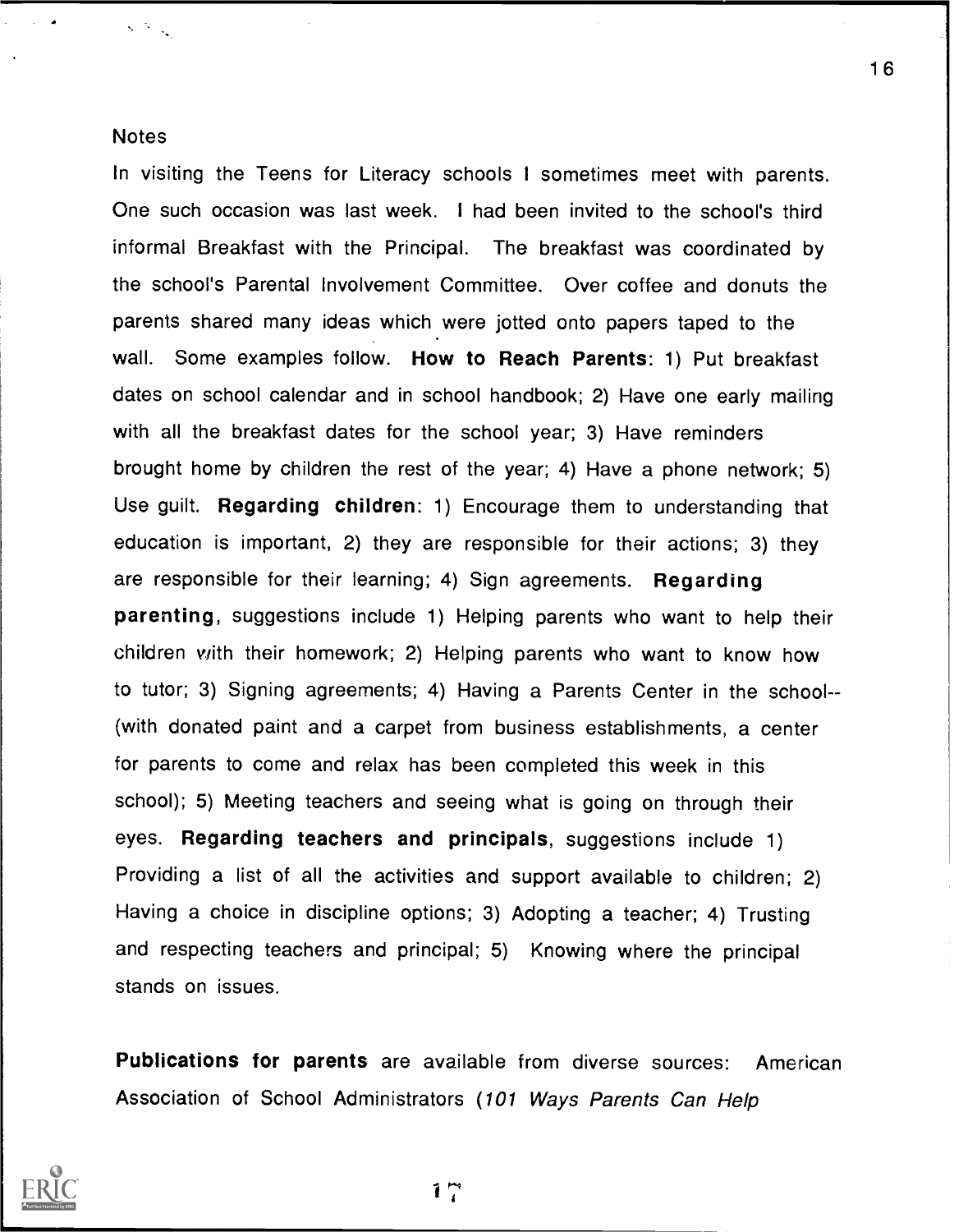## **Notes**

 $\sqrt{N_{\rm{eff}}}$ 

In visiting the Teens for Literacy schools I sometimes meet with parents. One such occasion was last week. I had been invited to the school's third informal Breakfast with the Principal. The breakfast was coordinated by the school's Parental Involvement Committee. Over coffee and donuts the parents shared many ideas which were jotted onto papers taped to the wall. Some examples follow. How to Reach Parents: 1) Put breakfast dates on school calendar and in school handbook; 2) Have one early mailing with all the breakfast dates for the school year; 3) Have reminders brought home by children the rest of the year; 4) Have a phone network; 5) Use guilt. Regarding children: 1) Encourage them to understanding that education is important, 2) they are responsible for their actions; 3) they are responsible for their learning; 4) Sign agreements. Regarding parenting, suggestions include 1) Helping parents who want to help their children with their homework; 2) Helping parents who want to know how to tutor; 3) Signing agreements; 4) Having a Parents Center in the school- (with donated paint and a carpet from business establishments, a center for parents to come and relax has been completed this week in this school); 5) Meeting teachers and seeing what is going on through their eyes. Regarding teachers and principals, suggestions include 1) Providing a list of all the activities and support available to children; 2) Having a choice in discipline options; 3) Adopting a teacher; 4) Trusting and respecting teachers and principal; 5) Knowing where the principal stands on issues.

Publications for parents are available from diverse sources: American Association of School Administrators (101 Ways Parents Can Help